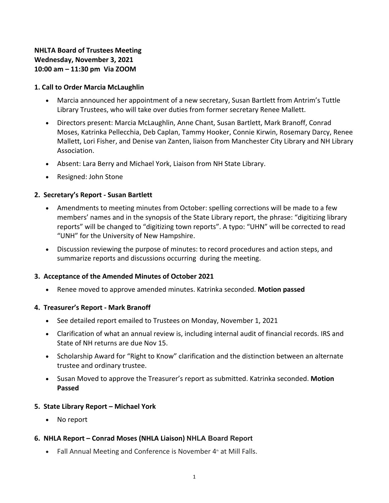# **NHLTA Board of Trustees Meeting Wednesday, November 3, 2021 10:00 am – 11:30 pm Via ZOOM**

## **1. Call to Order Marcia McLaughlin**

- Marcia announced her appointment of a new secretary, Susan Bartlett from Antrim's Tuttle Library Trustees, who will take over duties from former secretary Renee Mallett.
- Directors present: Marcia McLaughlin, Anne Chant, Susan Bartlett, Mark Branoff, Conrad Moses, Katrinka Pellecchia, Deb Caplan, Tammy Hooker, Connie Kirwin, Rosemary Darcy, Renee Mallett, Lori Fisher, and Denise van Zanten, liaison from Manchester City Library and NH Library Association.
- Absent: Lara Berry and Michael York, Liaison from NH State Library.
- Resigned: John Stone

## **2. Secretary's Report - Susan Bartlett**

- Amendments to meeting minutes from October: spelling corrections will be made to a few members' names and in the synopsis of the State Library report, the phrase: "digitizing library reports" will be changed to "digitizing town reports". A typo: "UHN" will be corrected to read "UNH" for the University of New Hampshire.
- Discussion reviewing the purpose of minutes: to record procedures and action steps, and summarize reports and discussions occurring during the meeting.

## **3. Acceptance of the Amended Minutes of October 2021**

Renee moved to approve amended minutes. Katrinka seconded. **Motion passed** 

## **4. Treasurer's Report - Mark Branoff**

- See detailed report emailed to Trustees on Monday, November 1, 2021
- Clarification of what an annual review is, including internal audit of financial records. IRS and State of NH returns are due Nov 15.
- Scholarship Award for "Right to Know" clarification and the distinction between an alternate trustee and ordinary trustee.
- Susan Moved to approve the Treasurer's report as submitted. Katrinka seconded. **Motion Passed**

## **5. State Library Report – Michael York**

No report

# **6. NHLA Report – Conrad Moses (NHLA Liaison) NHLA Board Report**

• Fall Annual Meeting and Conference is November  $4<sup>th</sup>$  at Mill Falls.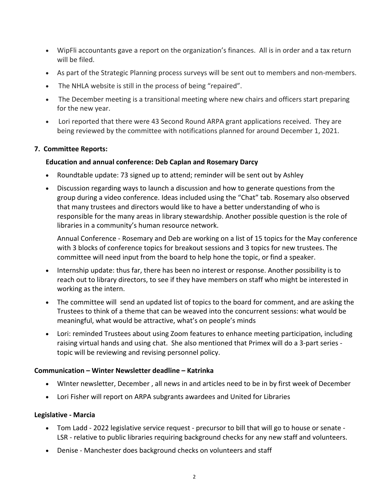- WipFli accountants gave a report on the organization's finances. All is in order and a tax return will be filed.
- As part of the Strategic Planning process surveys will be sent out to members and non-members.
- The NHLA website is still in the process of being "repaired".
- The December meeting is a transitional meeting where new chairs and officers start preparing for the new year.
- Lori reported that there were 43 Second Round ARPA grant applications received. They are being reviewed by the committee with notifications planned for around December 1, 2021.

# **7. Committee Reports:**

## **Education and annual conference: Deb Caplan and Rosemary Darcy**

- Roundtable update: 73 signed up to attend; reminder will be sent out by Ashley
- Discussion regarding ways to launch a discussion and how to generate questions from the group during a video conference. Ideas included using the "Chat" tab. Rosemary also observed that many trustees and directors would like to have a better understanding of who is responsible for the many areas in library stewardship. Another possible question is the role of libraries in a community's human resource network.

Annual Conference - Rosemary and Deb are working on a list of 15 topics for the May conference with 3 blocks of conference topics for breakout sessions and 3 topics for new trustees. The committee will need input from the board to help hone the topic, or find a speaker.

- Internship update: thus far, there has been no interest or response. Another possibility is to reach out to library directors, to see if they have members on staff who might be interested in working as the intern.
- The committee will send an updated list of topics to the board for comment, and are asking the Trustees to think of a theme that can be weaved into the concurrent sessions: what would be meaningful, what would be attractive, what's on people's minds
- Lori: reminded Trustees about using Zoom features to enhance meeting participation, including raising virtual hands and using chat. She also mentioned that Primex will do a 3-part series topic will be reviewing and revising personnel policy.

## **Communication – Winter Newsletter deadline – Katrinka**

- WInter newsletter, December , all news in and articles need to be in by first week of December
- Lori Fisher will report on ARPA subgrants awardees and United for Libraries

## **Legislative - Marcia**

- Tom Ladd 2022 legislative service request precursor to bill that will go to house or senate LSR - relative to public libraries requiring background checks for any new staff and volunteers.
- Denise Manchester does background checks on volunteers and staff